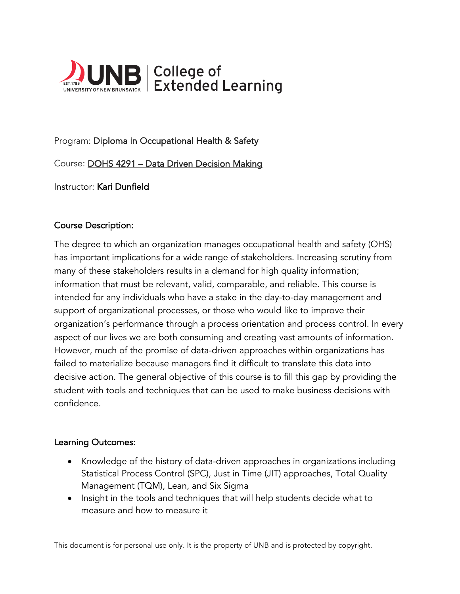

# Program: Diploma in Occupational Health & Safety

Course: DOHS 4291 – Data Driven Decision Making

Instructor: Kari Dunfield

### Course Description:

The degree to which an organization manages occupational health and safety (OHS) has important implications for a wide range of stakeholders. Increasing scrutiny from many of these stakeholders results in a demand for high quality information; information that must be relevant, valid, comparable, and reliable. This course is intended for any individuals who have a stake in the day-to-day management and support of organizational processes, or those who would like to improve their organization's performance through a process orientation and process control. In every aspect of our lives we are both consuming and creating vast amounts of information. However, much of the promise of data-driven approaches within organizations has failed to materialize because managers find it difficult to translate this data into decisive action. The general objective of this course is to fill this gap by providing the student with tools and techniques that can be used to make business decisions with confidence.

## Learning Outcomes:

- Knowledge of the history of data-driven approaches in organizations including Statistical Process Control (SPC), Just in Time (JIT) approaches, Total Quality Management (TQM), Lean, and Six Sigma
- Insight in the tools and techniques that will help students decide what to measure and how to measure it

This document is for personal use only. It is the property of UNB and is protected by copyright.